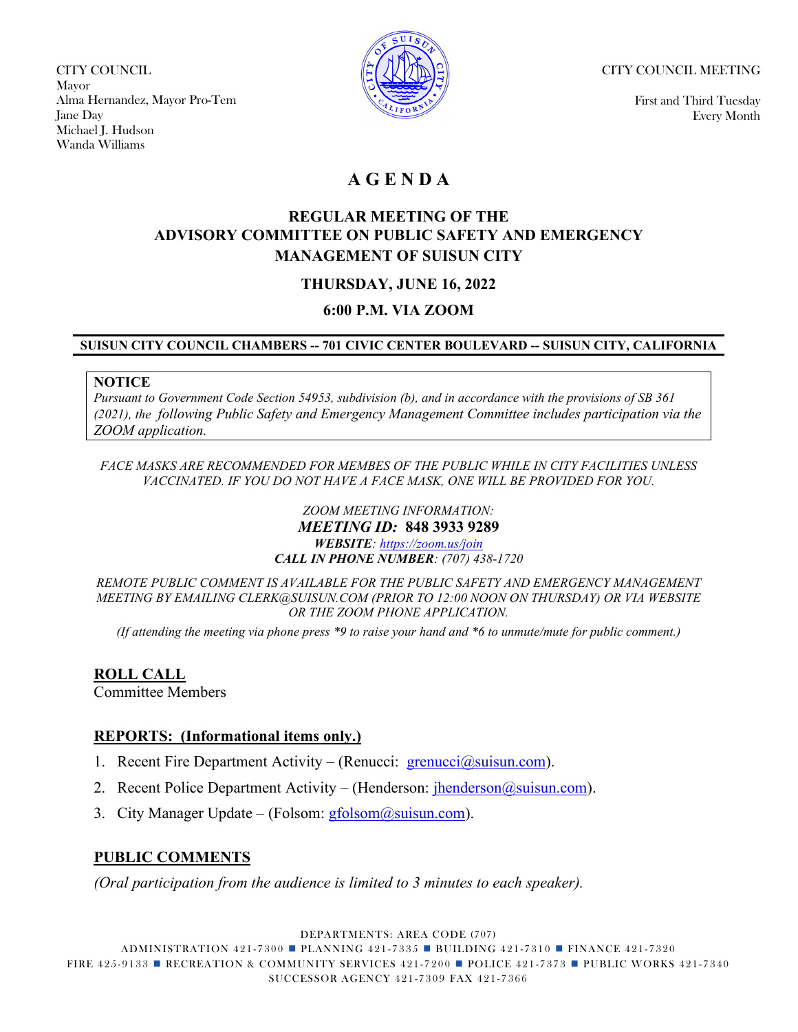CITY COUNCIL Mayor Alma Hernandez, Mayor Pro-Tem Jane Day Michael J. Hudson Wanda Williams



CITY COUNCIL MEETING

First and Third Tuesday Every Month

## **A G E N D A**

## **REGULAR MEETING OF THE ADVISORY COMMITTEE ON PUBLIC SAFETY AND EMERGENCY MANAGEMENT OF SUISUN CITY**

## **THURSDAY, JUNE 16, 2022**

### **6:00 P.M. VIA ZOOM**

### **SUISUN CITY COUNCIL CHAMBERS -- 701 CIVIC CENTER BOULEVARD -- SUISUN CITY, CALIFORNIA**

#### **NOTICE**

*Pursuant to Government Code Section 54953, subdivision (b), and in accordance with the provisions of SB 361 (2021), the following Public Safety and Emergency Management Committee includes participation via the ZOOM application.* 

*FACE MASKS ARE RECOMMENDED FOR MEMBES OF THE PUBLIC WHILE IN CITY FACILITIES UNLESS VACCINATED. IF YOU DO NOT HAVE A FACE MASK, ONE WILL BE PROVIDED FOR YOU.*

> *ZOOM MEETING INFORMATION: MEETING ID:* **848 3933 9289** *WEBSITE: [https://zoom.us/join](https://us06web.zoom.us/j/86867801939) CALL IN PHONE NUMBER: (707) 438-1720*

*REMOTE PUBLIC COMMENT IS AVAILABLE FOR THE PUBLIC SAFETY AND EMERGENCY MANAGEMENT MEETING BY EMAILING CLERK@SUISUN.COM (PRIOR TO 12:00 NOON ON THURSDAY) OR VIA WEBSITE OR THE ZOOM PHONE APPLICATION.*

*(If attending the meeting via phone press \*9 to raise your hand and \*6 to unmute/mute for public comment.)*

**ROLL CALL** Committee Members

# **REPORTS: (Informational items only.)**

- 1. Recent Fire Department Activity (Renucci: [grenucci@suisun.com\)](mailto:grenucci@suisun.com).
- 2. Recent Police Department Activity (Henderson:  $\frac{\text{ihenderson}(\omega\text{su}(\text{su}(\alpha)))}{\text{su}(\omega\text{su}(\alpha))}$ .
- 3. City Manager Update (Folsom:  $gfolsom(@suisun.com)$ .

### **PUBLIC COMMENTS**

*(Oral participation from the audience is limited to 3 minutes to each speaker).*

DEPARTMENTS: AREA CODE (707)